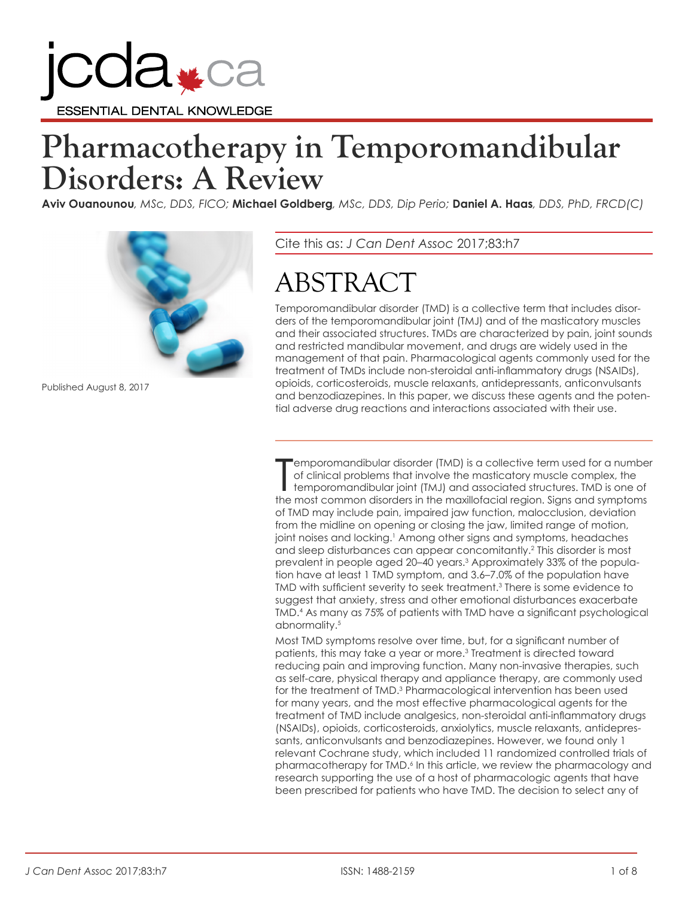

# **Pharmacotherapy in Temporomandibular Disorders: A Review**

**Aviv Ouanounou***, MSc, DDS, FICO;* **Michael Goldberg***, MSc, DDS, Dip Perio;* **Daniel A. Haas***, DDS, PhD, FRCD(C)*



Published August 8, 2017

Cite this as: *J Can Dent Assoc* 2017;83:h7

# ABSTRACT

Temporomandibular disorder (TMD) is a collective term that includes disorders of the temporomandibular joint (TMJ) and of the masticatory muscles and their associated structures. TMDs are characterized by pain, joint sounds and restricted mandibular movement, and drugs are widely used in the management of that pain. Pharmacological agents commonly used for the treatment of TMDs include non-steroidal anti-inflammatory drugs (NSAIDs), opioids, corticosteroids, muscle relaxants, antidepressants, anticonvulsants and benzodiazepines. In this paper, we discuss these agents and the potential adverse drug reactions and interactions associated with their use.

Temporomandibular disorder (TMD) is a collective term used for a numbe<br>of clinical problems that involve the masticatory muscle complex, the<br>temporomandibular joint (TMJ) and associated structures. TMD is one of<br>the most c emporomandibular disorder (TMD) is a collective term used for a number of clinical problems that involve the masticatory muscle complex, the temporomandibular joint (TMJ) and associated structures. TMD is one of of TMD may include pain, impaired jaw function, malocclusion, deviation from the midline on opening or closing the jaw, limited range of motion, joint noises and locking.<sup>1</sup> Among other signs and symptoms, headaches and sleep disturbances can appear concomitantly.2 This disorder is most prevalent in people aged 20–40 years.3 Approximately 33% of the population have at least 1 TMD symptom, and 3.6–7.0% of the population have TMD with sufficient severity to seek treatment.<sup>3</sup> There is some evidence to suggest that anxiety, stress and other emotional disturbances exacerbate TMD.4 As many as 75% of patients with TMD have a significant psychological abnormality.<sup>5</sup>

Most TMD symptoms resolve over time, but, for a significant number of patients, this may take a year or more.3 Treatment is directed toward reducing pain and improving function. Many non-invasive therapies, such as self-care, physical therapy and appliance therapy, are commonly used for the treatment of TMD.3 Pharmacological intervention has been used for many years, and the most effective pharmacological agents for the treatment of TMD include analgesics, non-steroidal anti-inflammatory drugs (NSAIDs), opioids, corticosteroids, anxiolytics, muscle relaxants, antidepressants, anticonvulsants and benzodiazepines. However, we found only 1 relevant Cochrane study, which included 11 randomized controlled trials of pharmacotherapy for TMD.6 In this article, we review the pharmacology and research supporting the use of a host of pharmacologic agents that have been prescribed for patients who have TMD. The decision to select any of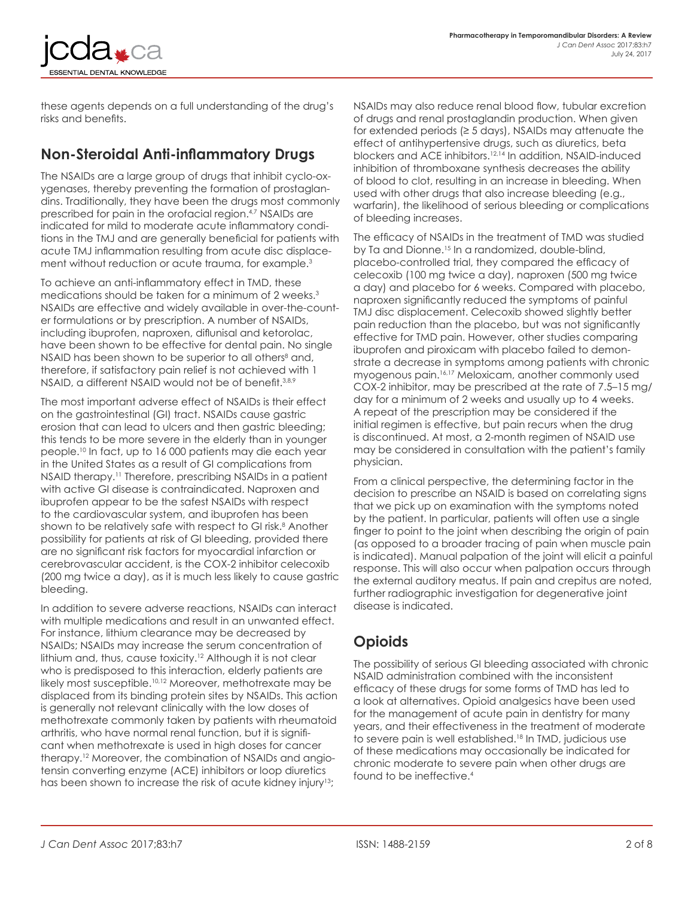NTIAL DENTAL KNOWLEDGE

these agents depends on a full understanding of the drug's risks and benefits.

## **Non-Steroidal Anti-inflammatory Drugs**

The NSAIDs are a large group of drugs that inhibit cyclo-oxygenases, thereby preventing the formation of prostaglandins. Traditionally, they have been the drugs most commonly prescribed for pain in the orofacial region.<sup>4,7</sup> NSAIDs are indicated for mild to moderate acute inflammatory conditions in the TMJ and are generally beneficial for patients with acute TMJ inflammation resulting from acute disc displacement without reduction or acute trauma, for example.<sup>3</sup>

To achieve an anti-inflammatory effect in TMD, these medications should be taken for a minimum of 2 weeks.3 NSAIDs are effective and widely available in over-the-counter formulations or by prescription. A number of NSAIDs, including ibuprofen, naproxen, diflunisal and ketorolac, have been shown to be effective for dental pain. No single NSAID has been shown to be superior to all others<sup>8</sup> and, therefore, if satisfactory pain relief is not achieved with 1 NSAID, a different NSAID would not be of benefit.<sup>3,8,9</sup>

The most important adverse effect of NSAIDs is their effect on the gastrointestinal (GI) tract. NSAIDs cause gastric erosion that can lead to ulcers and then gastric bleeding; this tends to be more severe in the elderly than in younger people.10 In fact, up to 16 000 patients may die each year in the United States as a result of GI complications from NSAID therapy.<sup>11</sup> Therefore, prescribing NSAIDs in a patient with active GI disease is contraindicated. Naproxen and ibuprofen appear to be the safest NSAIDs with respect to the cardiovascular system, and ibuprofen has been shown to be relatively safe with respect to GI risk.8 Another possibility for patients at risk of GI bleeding, provided there are no significant risk factors for myocardial infarction or cerebrovascular accident, is the COX-2 inhibitor celecoxib (200 mg twice a day), as it is much less likely to cause gastric bleeding.

In addition to severe adverse reactions, NSAIDs can interact with multiple medications and result in an unwanted effect. For instance, lithium clearance may be decreased by NSAIDs; NSAIDs may increase the serum concentration of lithium and, thus, cause toxicity.<sup>12</sup> Although it is not clear who is predisposed to this interaction, elderly patients are likely most susceptible.10,12 Moreover, methotrexate may be displaced from its binding protein sites by NSAIDs. This action is generally not relevant clinically with the low doses of methotrexate commonly taken by patients with rheumatoid arthritis, who have normal renal function, but it is significant when methotrexate is used in high doses for cancer therapy.12 Moreover, the combination of NSAIDs and angiotensin converting enzyme (ACE) inhibitors or loop diuretics has been shown to increase the risk of acute kidney injury<sup>13</sup>;

NSAIDs may also reduce renal blood flow, tubular excretion of drugs and renal prostaglandin production. When given for extended periods (≥ 5 days), NSAIDs may attenuate the effect of antihypertensive drugs, such as diuretics, beta blockers and ACE inhibitors.12,14 In addition, NSAID-induced inhibition of thromboxane synthesis decreases the ability of blood to clot, resulting in an increase in bleeding. When used with other drugs that also increase bleeding (e.g., warfarin), the likelihood of serious bleeding or complications of bleeding increases.

The efficacy of NSAIDs in the treatment of TMD was studied by Ta and Dionne.<sup>15</sup> In a randomized, double-blind, placebo-controlled trial, they compared the efficacy of celecoxib (100 mg twice a day), naproxen (500 mg twice a day) and placebo for 6 weeks. Compared with placebo, naproxen significantly reduced the symptoms of painful TMJ disc displacement. Celecoxib showed slightly better pain reduction than the placebo, but was not significantly effective for TMD pain. However, other studies comparing ibuprofen and piroxicam with placebo failed to demonstrate a decrease in symptoms among patients with chronic myogenous pain.16,17 Meloxicam, another commonly used COX-2 inhibitor, may be prescribed at the rate of 7.5–15 mg/ day for a minimum of 2 weeks and usually up to 4 weeks. A repeat of the prescription may be considered if the initial regimen is effective, but pain recurs when the drug is discontinued. At most, a 2-month regimen of NSAID use may be considered in consultation with the patient's family physician.

From a clinical perspective, the determining factor in the decision to prescribe an NSAID is based on correlating signs that we pick up on examination with the symptoms noted by the patient. In particular, patients will often use a single finger to point to the joint when describing the origin of pain (as opposed to a broader tracing of pain when muscle pain is indicated). Manual palpation of the joint will elicit a painful response. This will also occur when palpation occurs through the external auditory meatus. If pain and crepitus are noted, further radiographic investigation for degenerative joint disease is indicated.

### **Opioids**

The possibility of serious GI bleeding associated with chronic NSAID administration combined with the inconsistent efficacy of these drugs for some forms of TMD has led to a look at alternatives. Opioid analgesics have been used for the management of acute pain in dentistry for many years, and their effectiveness in the treatment of moderate to severe pain is well established.18 In TMD, judicious use of these medications may occasionally be indicated for chronic moderate to severe pain when other drugs are found to be ineffective.4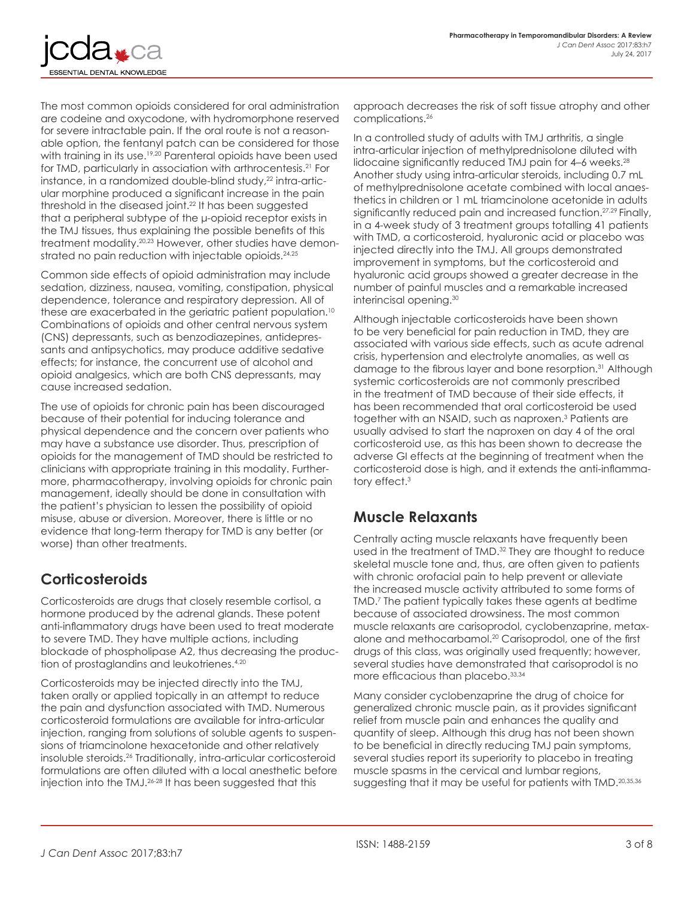

The most common opioids considered for oral administration are codeine and oxycodone, with hydromorphone reserved for severe intractable pain. If the oral route is not a reasonable option, the fentanyl patch can be considered for those with training in its use.<sup>19,20</sup> Parenteral opioids have been used for TMD, particularly in association with arthrocentesis.<sup>21</sup> For instance, in a randomized double-blind study,<sup>22</sup> intra-articular morphine produced a significant increase in the pain threshold in the diseased joint.22 It has been suggested that a peripheral subtype of the μ‑opioid receptor exists in the TMJ tissues, thus explaining the possible benefits of this treatment modality.20,23 However, other studies have demonstrated no pain reduction with injectable opioids.<sup>24,25</sup>

Common side effects of opioid administration may include sedation, dizziness, nausea, vomiting, constipation, physical dependence, tolerance and respiratory depression. All of these are exacerbated in the geriatric patient population.<sup>10</sup> Combinations of opioids and other central nervous system (CNS) depressants, such as benzodiazepines, antidepressants and antipsychotics, may produce additive sedative effects; for instance, the concurrent use of alcohol and opioid analgesics, which are both CNS depressants, may cause increased sedation.

The use of opioids for chronic pain has been discouraged because of their potential for inducing tolerance and physical dependence and the concern over patients who may have a substance use disorder. Thus, prescription of opioids for the management of TMD should be restricted to clinicians with appropriate training in this modality. Furthermore, pharmacotherapy, involving opioids for chronic pain management, ideally should be done in consultation with the patient's physician to lessen the possibility of opioid misuse, abuse or diversion. Moreover, there is little or no evidence that long-term therapy for TMD is any better (or worse) than other treatments.

### **Corticosteroids**

Corticosteroids are drugs that closely resemble cortisol, a hormone produced by the adrenal glands. These potent anti-inflammatory drugs have been used to treat moderate to severe TMD. They have multiple actions, including blockade of phospholipase A2, thus decreasing the production of prostaglandins and leukotrienes.<sup>4,20</sup>

Corticosteroids may be injected directly into the TMJ, taken orally or applied topically in an attempt to reduce the pain and dysfunction associated with TMD. Numerous corticosteroid formulations are available for intra-articular injection, ranging from solutions of soluble agents to suspensions of triamcinolone hexacetonide and other relatively insoluble steroids.26 Traditionally, intra-articular corticosteroid formulations are often diluted with a local anesthetic before injection into the TMJ.26-28 It has been suggested that this

approach decreases the risk of soft tissue atrophy and other complications.26

In a controlled study of adults with TMJ arthritis, a single intra-articular injection of methylprednisolone diluted with lidocaine significantly reduced TMJ pain for 4-6 weeks.<sup>28</sup> Another study using intra-articular steroids, including 0.7 mL of methylprednisolone acetate combined with local anaesthetics in children or 1 mL triamcinolone acetonide in adults significantly reduced pain and increased function.<sup>27,29</sup> Finally, in a 4-week study of 3 treatment groups totalling 41 patients with TMD, a corticosteroid, hyaluronic acid or placebo was injected directly into the TMJ. All groups demonstrated improvement in symptoms, but the corticosteroid and hyaluronic acid groups showed a greater decrease in the number of painful muscles and a remarkable increased interincisal opening.30

Although injectable corticosteroids have been shown to be very beneficial for pain reduction in TMD, they are associated with various side effects, such as acute adrenal crisis, hypertension and electrolyte anomalies, as well as damage to the fibrous layer and bone resorption.<sup>31</sup> Although systemic corticosteroids are not commonly prescribed in the treatment of TMD because of their side effects, it has been recommended that oral corticosteroid be used together with an NSAID, such as naproxen.<sup>3</sup> Patients are usually advised to start the naproxen on day 4 of the oral corticosteroid use, as this has been shown to decrease the adverse GI effects at the beginning of treatment when the corticosteroid dose is high, and it extends the anti-inflammatory effect.3

### **Muscle Relaxants**

Centrally acting muscle relaxants have frequently been used in the treatment of TMD.<sup>32</sup> They are thought to reduce skeletal muscle tone and, thus, are often given to patients with chronic orofacial pain to help prevent or alleviate the increased muscle activity attributed to some forms of TMD.7 The patient typically takes these agents at bedtime because of associated drowsiness. The most common muscle relaxants are carisoprodol, cyclobenzaprine, metaxalone and methocarbamol.20 Carisoprodol, one of the first drugs of this class, was originally used frequently; however, several studies have demonstrated that carisoprodol is no more efficacious than placebo. 33,34

Many consider cyclobenzaprine the drug of choice for generalized chronic muscle pain, as it provides significant relief from muscle pain and enhances the quality and quantity of sleep. Although this drug has not been shown to be beneficial in directly reducing TMJ pain symptoms, several studies report its superiority to placebo in treating muscle spasms in the cervical and lumbar regions, suggesting that it may be useful for patients with TMD.<sup>20,35,36</sup>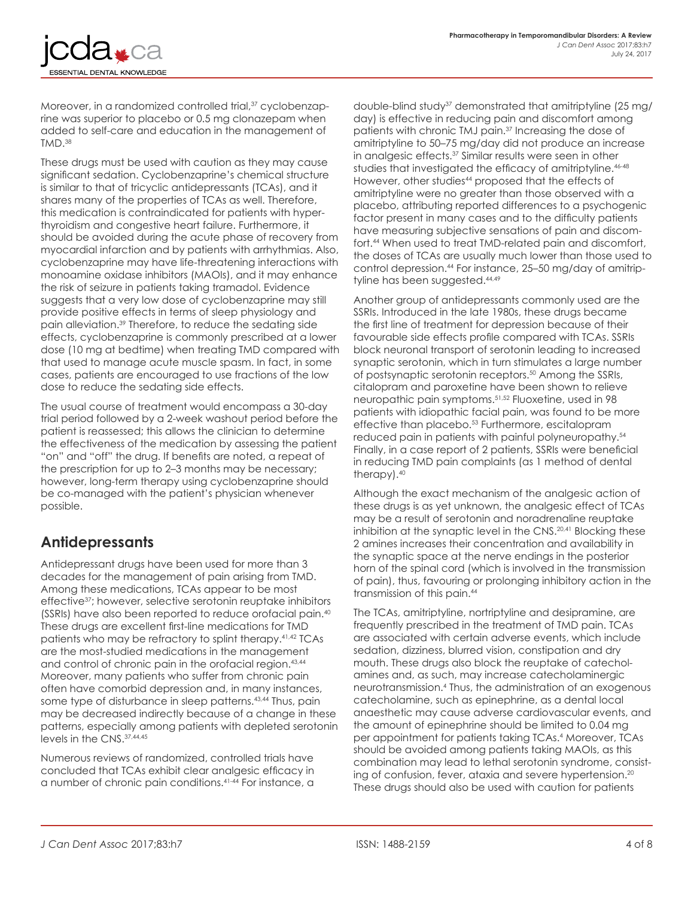NTIAL DENTAL KNOWLEDGE

Moreover, in a randomized controlled trial,<sup>37</sup> cyclobenzaprine was superior to placebo or 0.5 mg clonazepam when added to self-care and education in the management of TMD.38

These drugs must be used with caution as they may cause significant sedation. Cyclobenzaprine's chemical structure is similar to that of tricyclic antidepressants (TCAs), and it shares many of the properties of TCAs as well. Therefore, this medication is contraindicated for patients with hyperthyroidism and congestive heart failure. Furthermore, it should be avoided during the acute phase of recovery from myocardial infarction and by patients with arrhythmias. Also, cyclobenzaprine may have life-threatening interactions with monoamine oxidase inhibitors (MAOIs), and it may enhance the risk of seizure in patients taking tramadol. Evidence suggests that a very low dose of cyclobenzaprine may still provide positive effects in terms of sleep physiology and pain alleviation.39 Therefore, to reduce the sedating side effects, cyclobenzaprine is commonly prescribed at a lower dose (10 mg at bedtime) when treating TMD compared with that used to manage acute muscle spasm. In fact, in some cases, patients are encouraged to use fractions of the low dose to reduce the sedating side effects.

The usual course of treatment would encompass a 30-day trial period followed by a 2-week washout period before the patient is reassessed; this allows the clinician to determine the effectiveness of the medication by assessing the patient "on" and "off" the drug. If benefits are noted, a repeat of the prescription for up to 2–3 months may be necessary; however, long-term therapy using cyclobenzaprine should be co-managed with the patient's physician whenever possible.

### **Antidepressants**

Antidepressant drugs have been used for more than 3 decades for the management of pain arising from TMD. Among these medications, TCAs appear to be most effective37; however, selective serotonin reuptake inhibitors (SSRIs) have also been reported to reduce orofacial pain.40 These drugs are excellent first-line medications for TMD patients who may be refractory to splint therapy.41,42 TCAs are the most-studied medications in the management and control of chronic pain in the orofacial region.<sup>43,44</sup> Moreover, many patients who suffer from chronic pain often have comorbid depression and, in many instances, some type of disturbance in sleep patterns.<sup>43,44</sup> Thus, pain may be decreased indirectly because of a change in these patterns, especially among patients with depleted serotonin levels in the CNS.37,44,45

Numerous reviews of randomized, controlled trials have concluded that TCAs exhibit clear analgesic efficacy in a number of chronic pain conditions.41-44 For instance, a

double-blind study37 demonstrated that amitriptyline (25 mg/ day) is effective in reducing pain and discomfort among patients with chronic TMJ pain.<sup>37</sup> Increasing the dose of amitriptyline to 50–75 mg/day did not produce an increase in analgesic effects.<sup>37</sup> Similar results were seen in other studies that investigated the efficacy of amitriptyline.<sup>46-48</sup> However, other studies<sup>44</sup> proposed that the effects of amitriptyline were no greater than those observed with a placebo, attributing reported differences to a psychogenic factor present in many cases and to the difficulty patients have measuring subjective sensations of pain and discomfort.44 When used to treat TMD-related pain and discomfort, the doses of TCAs are usually much lower than those used to control depression.44 For instance, 25–50 mg/day of amitriptyline has been suggested.<sup>44,49</sup>

Another group of antidepressants commonly used are the SSRIs. Introduced in the late 1980s, these drugs became the first line of treatment for depression because of their favourable side effects profile compared with TCAs. SSRIs block neuronal transport of serotonin leading to increased synaptic serotonin, which in turn stimulates a large number of postsynaptic serotonin receptors.50 Among the SSRIs, citalopram and paroxetine have been shown to relieve neuropathic pain symptoms.51,52 Fluoxetine, used in 98 patients with idiopathic facial pain, was found to be more effective than placebo.<sup>53</sup> Furthermore, escitalopram reduced pain in patients with painful polyneuropathy.54 Finally, in a case report of 2 patients, SSRIs were beneficial in reducing TMD pain complaints (as 1 method of dental therapy).40

Although the exact mechanism of the analgesic action of these drugs is as yet unknown, the analgesic effect of TCAs may be a result of serotonin and noradrenaline reuptake inhibition at the synaptic level in the CNS.<sup>20,41</sup> Blocking these 2 amines increases their concentration and availability in the synaptic space at the nerve endings in the posterior horn of the spinal cord (which is involved in the transmission of pain), thus, favouring or prolonging inhibitory action in the transmission of this pain.44

The TCAs, amitriptyline, nortriptyline and desipramine, are frequently prescribed in the treatment of TMD pain. TCAs are associated with certain adverse events, which include sedation, dizziness, blurred vision, constipation and dry mouth. These drugs also block the reuptake of catecholamines and, as such, may increase catecholaminergic neurotransmission.4 Thus, the administration of an exogenous catecholamine, such as epinephrine, as a dental local anaesthetic may cause adverse cardiovascular events, and the amount of epinephrine should be limited to 0.04 mg per appointment for patients taking TCAs.<sup>4</sup> Moreover, TCAs should be avoided among patients taking MAOIs, as this combination may lead to lethal serotonin syndrome, consisting of confusion, fever, ataxia and severe hypertension.20 These drugs should also be used with caution for patients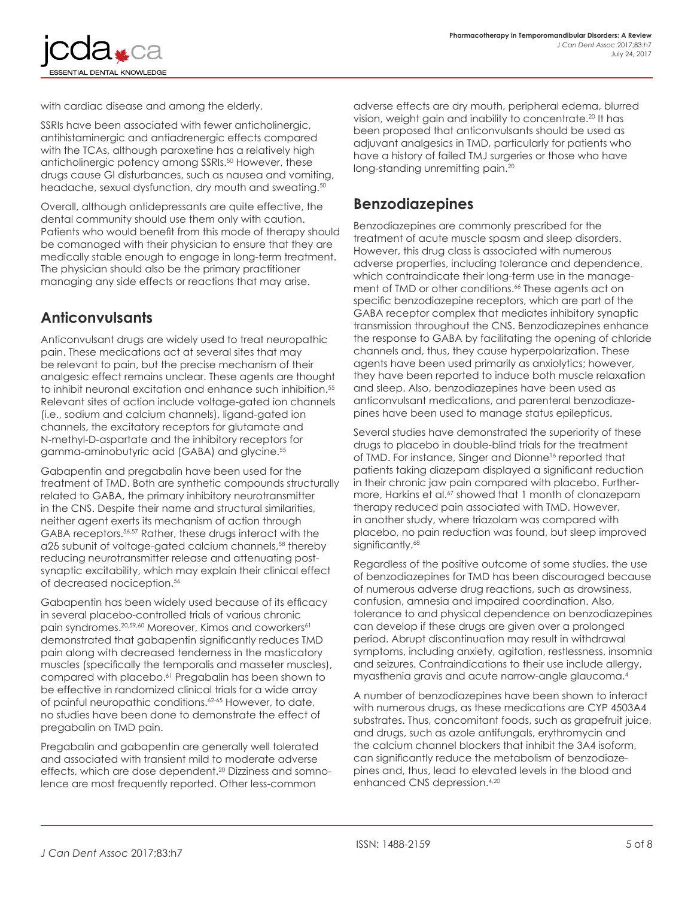**ENTIAL DENTAL KNOWLEDGE** 

with cardiac disease and among the elderly.

SSRIs have been associated with fewer anticholinergic, antihistaminergic and antiadrenergic effects compared with the TCAs, although paroxetine has a relatively high anticholinergic potency among SSRIs.<sup>50</sup> However, these drugs cause GI disturbances, such as nausea and vomiting, headache, sexual dysfunction, dry mouth and sweating.<sup>50</sup>

Overall, although antidepressants are quite effective, the dental community should use them only with caution. Patients who would benefit from this mode of therapy should be comanaged with their physician to ensure that they are medically stable enough to engage in long-term treatment. The physician should also be the primary practitioner managing any side effects or reactions that may arise.

#### **Anticonvulsants**

Anticonvulsant drugs are widely used to treat neuropathic pain. These medications act at several sites that may be relevant to pain, but the precise mechanism of their analgesic effect remains unclear. These agents are thought to inhibit neuronal excitation and enhance such inhibition.<sup>55</sup> Relevant sites of action include voltage-gated ion channels (i.e., sodium and calcium channels), ligand-gated ion channels, the excitatory receptors for glutamate and N-methyl-D-aspartate and the inhibitory receptors for gamma-aminobutyric acid (GABA) and glycine.<sup>55</sup>

Gabapentin and pregabalin have been used for the treatment of TMD. Both are synthetic compounds structurally related to GABA, the primary inhibitory neurotransmitter in the CNS. Despite their name and structural similarities, neither agent exerts its mechanism of action through GABA receptors.56,57 Rather, these drugs interact with the α2δ subunit of voltage-gated calcium channels,58 thereby reducing neurotransmitter release and attenuating postsynaptic excitability, which may explain their clinical effect of decreased nociception.56

Gabapentin has been widely used because of its efficacy in several placebo-controlled trials of various chronic pain syndromes.<sup>20,59,60</sup> Moreover, Kimos and coworkers<sup>61</sup> demonstrated that gabapentin significantly reduces TMD pain along with decreased tenderness in the masticatory muscles (specifically the temporalis and masseter muscles), compared with placebo.61 Pregabalin has been shown to be effective in randomized clinical trials for a wide array of painful neuropathic conditions.<sup>62-65</sup> However, to date, no studies have been done to demonstrate the effect of pregabalin on TMD pain.

Pregabalin and gabapentin are generally well tolerated and associated with transient mild to moderate adverse effects, which are dose dependent.20 Dizziness and somnolence are most frequently reported. Other less-common

adverse effects are dry mouth, peripheral edema, blurred vision, weight gain and inability to concentrate.<sup>20</sup> It has been proposed that anticonvulsants should be used as adjuvant analgesics in TMD, particularly for patients who have a history of failed TMJ surgeries or those who have long-standing unremitting pain.<sup>20</sup>

#### **Benzodiazepines**

Benzodiazepines are commonly prescribed for the treatment of acute muscle spasm and sleep disorders. However, this drug class is associated with numerous adverse properties, including tolerance and dependence, which contraindicate their long-term use in the management of TMD or other conditions.<sup>66</sup> These agents act on specific benzodiazepine receptors, which are part of the GABA receptor complex that mediates inhibitory synaptic transmission throughout the CNS. Benzodiazepines enhance the response to GABA by facilitating the opening of chloride channels and, thus, they cause hyperpolarization. These agents have been used primarily as anxiolytics; however, they have been reported to induce both muscle relaxation and sleep. Also, benzodiazepines have been used as anticonvulsant medications, and parenteral benzodiazepines have been used to manage status epilepticus.

Several studies have demonstrated the superiority of these drugs to placebo in double-blind trials for the treatment of TMD. For instance, Singer and Dionne<sup>16</sup> reported that patients taking diazepam displayed a significant reduction in their chronic jaw pain compared with placebo. Furthermore, Harkins et al.<sup>67</sup> showed that 1 month of clonazepam therapy reduced pain associated with TMD. However, in another study, where triazolam was compared with placebo, no pain reduction was found, but sleep improved significantly.<sup>68</sup>

Regardless of the positive outcome of some studies, the use of benzodiazepines for TMD has been discouraged because of numerous adverse drug reactions, such as drowsiness, confusion, amnesia and impaired coordination. Also, tolerance to and physical dependence on benzodiazepines can develop if these drugs are given over a prolonged period. Abrupt discontinuation may result in withdrawal symptoms, including anxiety, agitation, restlessness, insomnia and seizures. Contraindications to their use include allergy, myasthenia gravis and acute narrow-angle glaucoma.4

A number of benzodiazepines have been shown to interact with numerous drugs, as these medications are CYP 4503A4 substrates. Thus, concomitant foods, such as grapefruit juice, and drugs, such as azole antifungals, erythromycin and the calcium channel blockers that inhibit the 3A4 isoform, can significantly reduce the metabolism of benzodiazepines and, thus, lead to elevated levels in the blood and enhanced CNS depression.4,20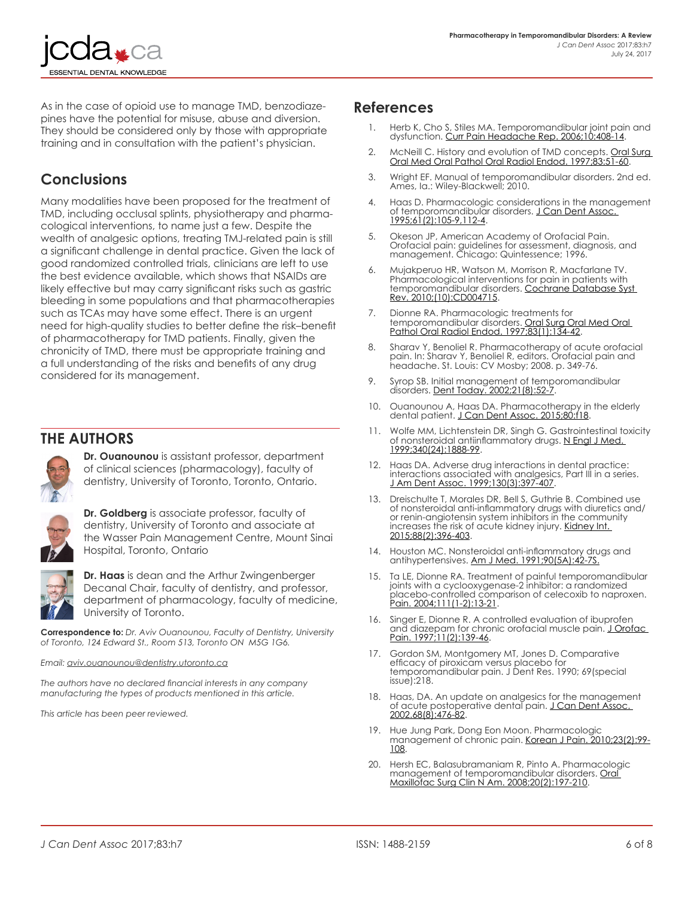As in the case of opioid use to manage TMD, benzodiazepines have the potential for misuse, abuse and diversion. They should be considered only by those with appropriate training and in consultation with the patient's physician.

#### **Conclusions**

**ENTIAL DENTAL KNOWLEDGE** 

Many modalities have been proposed for the treatment of TMD, including occlusal splints, physiotherapy and pharmacological interventions, to name just a few. Despite the wealth of analgesic options, treating TMJ-related pain is still a significant challenge in dental practice. Given the lack of good randomized controlled trials, clinicians are left to use the best evidence available, which shows that NSAIDs are likely effective but may carry significant risks such as gastric bleeding in some populations and that pharmacotherapies such as TCAs may have some effect. There is an urgent need for high-quality studies to better define the risk–benefit of pharmacotherapy for TMD patients. Finally, given the chronicity of TMD, there must be appropriate training and a full understanding of the risks and benefits of any drug considered for its management.

#### **THE AUTHORS**



**Dr. Ouanounou** is assistant professor, department of clinical sciences (pharmacology), faculty of dentistry, University of Toronto, Toronto, Ontario.



**Dr. Goldberg** is associate professor, faculty of dentistry, University of Toronto and associate at the Wasser Pain Management Centre, Mount Sinai Hospital, Toronto, Ontario



**Dr. Haas** is dean and the Arthur Zwingenberger Decanal Chair, faculty of dentistry, and professor, department of pharmacology, faculty of medicine, University of Toronto.

**Correspondence to:** *Dr. Aviv Ouanounou, Faculty of Dentistry, University of Toronto, 124 Edward St., Room 513, Toronto ON M5G 1G6.*

*Email: aviv.ouanounou@dentistry.utoronto.ca*

*The authors have no declared financial interests in any company manufacturing the types of products mentioned in this article.*

*This article has been peer reviewed.*

#### **References**

- 1. Herb K, Cho S, Stiles MA. Temporomandibular joint pain and dysfunction. [Curr Pain Headache Rep. 2006;10:408-14.](https://www.ncbi.nlm.nih.gov/pubmed/17087864)
- McNeill C. History and evolution of TMD concepts. Oral Surg [Oral Med Oral Pathol Oral Radiol Endod. 1997;83:51-60](https://www.ncbi.nlm.nih.gov/pubmed/9007924).
- 3. Wright EF. Manual of temporomandibular disorders. 2nd ed. Ames, Ia.: Wiley-Blackwell; 2010.
- 4. Haas D. Pharmacologic considerations in the management of temporomandibular disorders. J Can Dent Assoc. [1995;61\(2\):105-9,112-4](https://www.ncbi.nlm.nih.gov/pubmed/7600411).
- 5. Okeson JP, American Academy of Orofacial Pain. Orofacial pain: guidelines for assessment, diagnosis, and management. Chicago: Quintessence; 1996.
- 6. Mujakperuo HR, Watson M, Morrison R, Macfarlane TV. Pharmacological interventions for pain in patients with temporomandibular disorders. [Cochrane Database Syst](https://www.ncbi.nlm.nih.gov/pubmed/20927737)  [Rev. 2010;\(10\):CD004715.](https://www.ncbi.nlm.nih.gov/pubmed/20927737)
- 7. Dionne RA. Pharmacologic treatments for temporomandibular disorders. <u>Oral Surg Oral Med Oral</u> [Pathol Oral Radiol Endod. 1997;83\(1\):134-42](https://www.ncbi.nlm.nih.gov/pubmed/9007937).
- 8. Sharav Y, Benoliel R. Pharmacotherapy of acute orofacial pain. In: Sharav Y, Benoliel R, editors. Orofacial pain and headache. St. Louis: CV Mosby; 2008. p. 349-76.
- 9. Syrop SB. Initial management of temporomandibular disorders. [Dent Today. 2002;21\(8\):52-7](https://www.ncbi.nlm.nih.gov/pubmed/12221818).
- 10. Ouanounou A, Haas DA. Pharmacotherapy in the elderly dental patient. <u>J [Can Dent Assoc. 2015;80:f18](https://www.ncbi.nlm.nih.gov/pubmed/26679331)</u>.
- 11. Wolfe MM, Lichtenstein DR, Singh G. Gastrointestinal toxicity of nonsteroidal antiinflammatory drugs. N Engl J Med. [1999;340\(24\):1888-99](https://www.ncbi.nlm.nih.gov/pubmed/10369853).
- 12. Haas DA. Adverse drug interactions in dental practice: interactions associated with analgesics, Part III in a series. J [Am Dent Assoc. 1999;130\(3\):397-407](https://www.ncbi.nlm.nih.gov/pubmed/10085663).
- 13. Dreischulte T, Morales DR, Bell S, Guthrie B. Combined use of nonsteroidal anti-inflammatory drugs with diuretics and/ or renin-angiotensin system inhibitors in the community increases the risk of acute kidney injury. Kidney Int. [2015;88\(2\):396-403.](https://www.ncbi.nlm.nih.gov/pubmed/25874600)
- 14. Houston MC. Nonsteroidal anti-inflammatory drugs and antihypertensives. [Am J Med. 1991;90\(5A\):42-7S.](https://www.ncbi.nlm.nih.gov/pubmed/1903902)
- 15. Ta LE, Dionne RA. Treatment of painful temporomandibular joints with a cyclooxygenase-2 inhibitor: a randomized placebo-controlled comparison of celecoxib to naproxen. [Pain. 2004;111\(1-2\):13-21](https://www.ncbi.nlm.nih.gov/pubmed/15327804).
- 16. Singer E, Dionne R. A controlled evaluation of ibuprofen and diazepam for chronic orofacial muscle pain. [J Orofac](https://www.ncbi.nlm.nih.gov/pubmed/10332320)  [Pain. 1997;11\(2\):139-46](https://www.ncbi.nlm.nih.gov/pubmed/10332320).
- 17. Gordon SM, Montgomery MT, Jones D. Comparative efficacy of piroxicam versus placebo for temporomandibular pain. J Dent Res. 1990; 69(special issue):218.
- 18. Haas, DA. An update on analgesics for the management of acute postoperative dental pain. <u>J Can Dent Assoc.</u> [2002.68\(8\):476-82](https://www.ncbi.nlm.nih.gov/pubmed/12323103).
- 19. Hue Jung Park, Dong Eon Moon. Pharmacologic management of chronic pain. [Korean J Pain. 2010;23\(2\):99-](https://www.ncbi.nlm.nih.gov/pmc/articles/PMC2886242/) [108](https://www.ncbi.nlm.nih.gov/pmc/articles/PMC2886242/).
- 20. Hersh EC, Balasubramaniam R, Pinto A. Pharmacologic management of temporomandibular disorders. [Oral](https://www.ncbi.nlm.nih.gov/pubmed/18343325)  [Maxillofac Surg Clin N Am. 2008;20\(2\):197-210](https://www.ncbi.nlm.nih.gov/pubmed/18343325).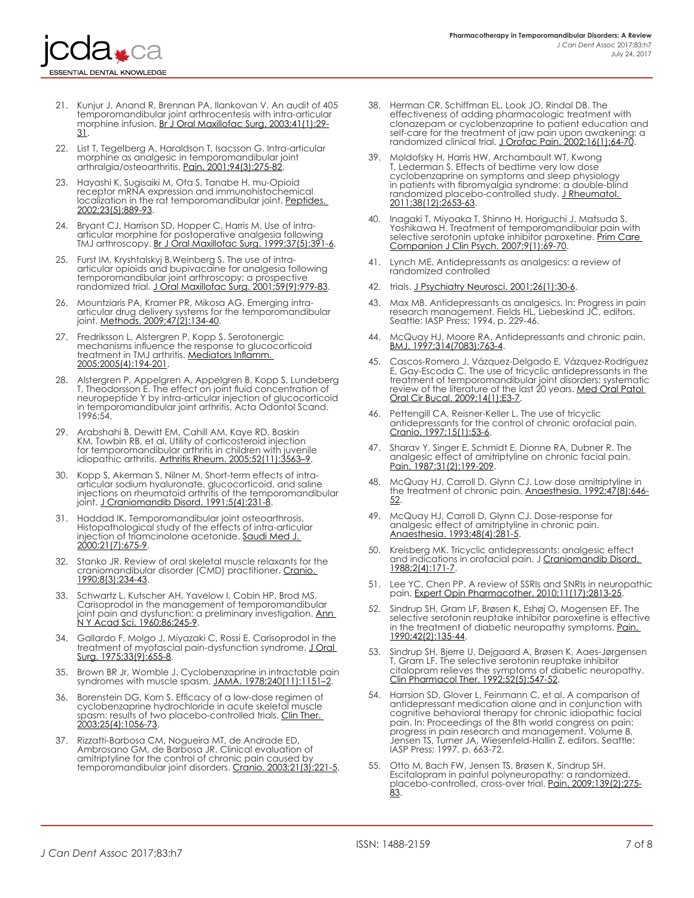ESSENTIAL DENTAL KNOWLEDGE

- 21. Kunjur J, Anand R, Brennan PA, Ilankovan V. An audit of 405 temporomandibular joint arthrocentesis with intra-articular morphine infusion. [Br J Oral Maxillofac Surg. 2003;41\(1\):29-](https://www.ncbi.nlm.nih.gov/pubmed/12576037) [31.](https://www.ncbi.nlm.nih.gov/pubmed/12576037)
- 22. List T, Tegelberg A, Haraldson T, Isacsson G. Intra-articular morphine as analgesic in temporomandibular joint arthralgia/osteoarthritis. <u>Pain. 2001;94(3):275-82</u>.
- 23. Hayashi K, Sugisaiki M, Ota S, Tanabe H. mu-Opioid receptor mRNA expression and immunohistochemical localization in the rat temporomandibular joint. [Peptides.](https://www.ncbi.nlm.nih.gov/pubmed/12084519)  [2002;23\(5\):889-93](https://www.ncbi.nlm.nih.gov/pubmed/12084519).
- 24. Bryant CJ, Harrison SD, Hopper C, Harris M. Use of intraarticular morphine for postoperative analgesia following TMJ arthroscopy. <u>[Br J Oral Maxillofac Surg. 1999;37\(5\):391-6](https://www.ncbi.nlm.nih.gov/pubmed/10577754)</u>.
- 25. Furst IM, Kryshtalskyj B,Weinberg S. The use of intraarticular opioids and bupivacaine for analgesia following temporomandibular joint arthroscopy: a prospective randomized trial. <u>J Oral Maxillofac Surg. 2001;59(9):979-83</u>.
- 26. Mountziaris PA, Kramer PR, Mikosa AG. Emerging intraarticular drug delivery systems for the temporomandibular joint. <u>Methods. 2009;47(2):134-40</u>.
- 27. Fredriksson L, Alstergren P, Kopp S. Serotonergic mechanisms influence the response to glucocorticoid treatment in TMJ arthritis. <u>Mediators Inflamm.</u> [2005;2005\(4\):194-201](https://www.ncbi.nlm.nih.gov/pmc/articles/PMC1526482/).
- 28. Alstergren P, Appelgren A, Appelgren B, Kopp S, Lundeberg T, Theodorsson E. The effect on joint fluid concentration of neuropeptide Y by intra-articular injection of glucocorticoid in temporomandibular joint arthritis. Acta Odontol Scand. 1996;54.
- 29. Arabshahi B, Dewitt EM, Cahill AM, Kaye RD, Baskin KM, Towbin RB, et al. Utility of corticosteroid injection for temporomandibular arthritis in children with juvenile idiopathic arthritis. <u>Arthritis Rheum[. 2005;52\(11\):3563–9](https://www.ncbi.nlm.nih.gov/pubmed/16255045)</u>.
- Kopp S, Akerman S, Nilner M. Short-term effects of intraarticular sodium hyaluronate, glucocorticoid, and saline injections on rheumatoid arthritis of the temporomandibular joint. [J Craniomandib Disord. 1991;5\(4\):231-8.](https://www.ncbi.nlm.nih.gov/pubmed/1814964)
- 31. Haddad IK. Temporomandibular joint osteoarthrosis. Histopathological study of the effects of intra-articular injection of triamcinolone acetonide. [Saudi Med J.](https://www.ncbi.nlm.nih.gov/pubmed/11500733)  [2000:21\(7\):675-9.](https://www.ncbi.nlm.nih.gov/pubmed/11500733)
- 32. Stanko JR. Review of oral skeletal muscle relaxants for the craniomandibular disorder (CMD) practitioner. [Cranio.](https://www.ncbi.nlm.nih.gov/pubmed/2083431)  [1990;8\(3\):234-43.](https://www.ncbi.nlm.nih.gov/pubmed/2083431)
- 33. Schwartz L, Kutscher AH, Yavelow I, Cobin HP, Brod MS. Carisoprodol in the management of temporomandibular joint pain and dysfunction: a preliminary investigation. <u>Ann-</u> [N Y Acad Sci. 1960;86:245-9](https://www.ncbi.nlm.nih.gov/pubmed/14443993).
- 34. Gallardo F, Molgo J, Miyazaki C, Rossi E. Carisoprodol in the treatment of myofascial pain-dysfunction syndrome. [J Oral](https://www.ncbi.nlm.nih.gov/pubmed/1097611)  [Surg. 1975;33\(9\):655-8.](https://www.ncbi.nlm.nih.gov/pubmed/1097611)
- 35. Brown BR Jr, Womble J. Cyclobenzaprine in intractable pain syndromes with muscle spasm. [JAMA. 1978;240\(11\):1151–2](https://www.ncbi.nlm.nih.gov/pubmed/355663).
- 36. Borenstein DG, Korn S. Efficacy of a low-dose regimen of cyclobenzaprine hydrochloride in acute skeletal muscle spasm: results of two placebo-controlled trials. Clin Ther. [2003;25\(4\):1056-73.](https://www.ncbi.nlm.nih.gov/pubmed/12809957)
- 37. Rizzatti-Barbosa CM, Nogueira MT, de Andrade ED, Ambrosano GM, de Barbosa JR. Clinical evaluation of amitriptyline for the control of chronic pain caused by temporomandibular joint disorders. [Cranio. 2003;21\(3\):221-5.](https://www.ncbi.nlm.nih.gov/pubmed/12889679)
- 38. Herman CR, Schiffman EL, Look JO, Rindal DB. The effectiveness of adding pharmacologic treatment with clonazepam or cyclobenzaprine to patient education and self-care for the treatment of jaw pain upon awakening: a randomized clinical trial. [J Orofac Pain. 2002;16\(1\):64-70](https://www.ncbi.nlm.nih.gov/pubmed/11889661).
- 39. Moldofsky H, Harris HW, Archambault WT, Kwong T, Lederman S. Effects of bedtime very low dose cyclobenzaprine on symptoms and sleep physiology in patients with fibromyalgia syndrome: a double-blind randomized placebo-controlled study. J Rheumatol. [2011;38\(12\):2653-63](https://www.ncbi.nlm.nih.gov/pubmed/21885490).
- 40. Inagaki T, Miyoaka T, Shinno H, Horiguchi J, Matsuda S, Yoshikawa H. Treatment of temporomandibular pain with selective serotonin uptake inhibitor paroxetine. <u>Prim Care</u> [Companion J Clin Psych. 2007;9\(1\):69-70.](https://www.ncbi.nlm.nih.gov/pmc/articles/PMC1894839/)
- 41. Lynch ME. Antidepressants as analgesics: a review of randomized controlled
- 42. trials. [J Psychiatry Neurosci. 2001;26\(1\):30-6.](https://www.ncbi.nlm.nih.gov/pmc/articles/PMC1408040/)
- 43. Max MB. Antidepressants as analgesics. In: Progress in pain research management. Fields HL, Liebeskind JC, editors. Seattle: IASP Press; 1994. p. 229-46.
- 44. McQuay HJ, Moore RA. Antidepressants and chronic pain. [BMJ. 1997;314\(7083\):763-4.](https://www.ncbi.nlm.nih.gov/pmc/articles/PMC2126188/)
- 45. Cascos-Romero J, Vázquez-Delgado E, Vázquez-Rodríguez E, Gay-Escoda C. The use of tricyclic antidepressants in the treatment of temporomandibular joint disorders: systematic review of the literature of the last 20 years. <u>Med Oral Patol </u> [Oral Cir Bucal. 2009;14\(1\):E3-7](https://www.ncbi.nlm.nih.gov/pubmed/19114953).
- 46. Pettengill CA, Reisner-Keller L. The use of tricyclic antidepressants for the control of chronic orofacial pain. [Cranio. 1997;15\(1\):53-6.](https://www.ncbi.nlm.nih.gov/pubmed/9586488)
- 47. Sharav Y, Singer E, Schmidt E, Dionne RA, Dubner R. The analgesic effect of amitriptyline on chronic facial pain. [Pain. 1987;31\(2\):199-209.](https://www.ncbi.nlm.nih.gov/pubmed/3431880)
- 48. McQuay HJ, Carroll D, Glynn CJ. Low dose amitriptyline in the treatment of chronic pain. <u>[Anaesthesia. 1992;47\(8\):646-](https://www.ncbi.nlm.nih.gov/pubmed/1519713)</u> [52.](https://www.ncbi.nlm.nih.gov/pubmed/1519713)
- 49. McQuay HJ, Carroll D, Glynn CJ. Dose-response for analgesic effect of amitriptyline in chronic pain. [Anaesthesia. 1993;48\(4\):281-5](https://www.ncbi.nlm.nih.gov/pubmed/8494126).
- 50. Kreisberg MK. Tricyclic antidepressants: analgesic effect and indications in orofacial pain. J Craniomandib Disord. [1988;2\(4\):171-7](https://www.ncbi.nlm.nih.gov/pubmed/3076592).
- 51. Lee YC, Chen PP. A review of SSRIs and SNRIs in neuropathic pain. [Expert Opin Pharmacother. 2010;11\(17\):2813-25](https://www.ncbi.nlm.nih.gov/pubmed/20642317).
- 52. Sindrup SH, Gram LF, Brøsen K, Eshøj O, Mogensen EF. The selective serotonin reuptake inhibitor paroxetine is effective in the treatment of diabetic neuropathy symptoms. <u>Pain.</u> [1990;42\(2\):135-44](https://www.ncbi.nlm.nih.gov/pubmed/2147235).
- 53. Sindrup SH, Bjerre U, Dejgaard A, Brøsen K, Aaes-Jørgensen T, Gram LF. The selective serotonin reuptake inhibitor citalopram relieves the symptoms of diabetic neuropathy. [Clin Pharmacol Ther. 1992;52\(5\):547-52.](https://www.ncbi.nlm.nih.gov/pubmed/1424428)
- 54. Harrsion SD, Glover L, Feinmann C, et al. A comparison of antidepressant medication alone and in conjunction with cognitive behavioral therapy for chronic idiopathic facial pain. In: Proceedings of the 8th world congress on pain: progress in pain research and management. Volume 8. Jensen TS, Turner JA, Wiesenfeld-Hallin Z, editors. Seattle: IASP Press; 1997. p. 663-72.
- Otto M, Bach FW, Jensen TS, Brøsen K, Sindrup SH. Escitalopram in painful polyneuropathy: a randomized, placebo-controlled, cross-over trial. [Pain. 2009;139\(2\):275-](https://www.ncbi.nlm.nih.gov/pubmed/18547727) [83.](https://www.ncbi.nlm.nih.gov/pubmed/18547727)